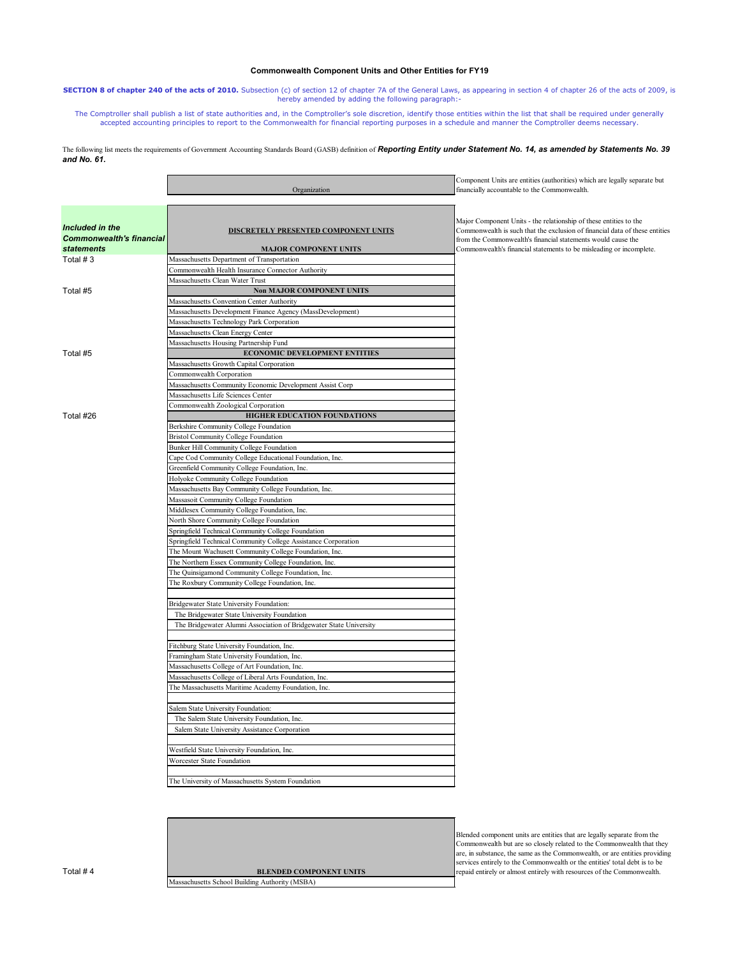|                                                                         | Organization                                                                | Component Units are entities (authorities) which are legally separate but<br>financially accountable to the Commonwealth.                                                                                                                                                               |
|-------------------------------------------------------------------------|-----------------------------------------------------------------------------|-----------------------------------------------------------------------------------------------------------------------------------------------------------------------------------------------------------------------------------------------------------------------------------------|
| Included in the<br><b>Commonwealth's financial</b><br><b>statements</b> | <b>DISCRETELY PRESENTED COMPONENT UNITS</b><br><b>MAJOR COMPONENT UNITS</b> | Major Component Units - the relationship of these entities to the<br>Commonwealth is such that the exclusion of financial data of these entities<br>from the Commonwealth's financial statements would cause the<br>Commonwealth's financial statements to be misleading or incomplete. |
| Total $# 3$                                                             |                                                                             |                                                                                                                                                                                                                                                                                         |
|                                                                         | Massachusetts Department of Transportation                                  |                                                                                                                                                                                                                                                                                         |
|                                                                         | Commonwealth Health Insurance Connector Authority                           |                                                                                                                                                                                                                                                                                         |
|                                                                         | Massachusetts Clean Water Trust                                             |                                                                                                                                                                                                                                                                                         |
| Total #5                                                                | <b>Non MAJOR COMPONENT UNITS</b>                                            |                                                                                                                                                                                                                                                                                         |
|                                                                         | Massachusetts Convention Center Authority                                   |                                                                                                                                                                                                                                                                                         |
|                                                                         | Massachusetts Development Finance Agency (MassDevelopment)                  |                                                                                                                                                                                                                                                                                         |
|                                                                         | Massachusetts Technology Park Corporation                                   |                                                                                                                                                                                                                                                                                         |
|                                                                         | Massachusetts Clean Energy Center                                           |                                                                                                                                                                                                                                                                                         |
|                                                                         | Massachusetts Housing Partnership Fund                                      |                                                                                                                                                                                                                                                                                         |
| Total #5                                                                | <b>ECONOMIC DEVELOPMENT ENTITIES</b>                                        |                                                                                                                                                                                                                                                                                         |
|                                                                         | Massachusetts Growth Capital Corporation                                    |                                                                                                                                                                                                                                                                                         |
|                                                                         | Commonwealth Corporation                                                    |                                                                                                                                                                                                                                                                                         |
|                                                                         | Massachusetts Community Economic Development Assist Corp                    |                                                                                                                                                                                                                                                                                         |
|                                                                         | Massachusetts Life Sciences Center                                          |                                                                                                                                                                                                                                                                                         |
|                                                                         | Commonwealth Zoological Corporation                                         |                                                                                                                                                                                                                                                                                         |
| Total #26                                                               | <b>HIGHER EDUCATION FOUNDATIONS</b>                                         |                                                                                                                                                                                                                                                                                         |
|                                                                         | Berkshire Community College Foundation                                      |                                                                                                                                                                                                                                                                                         |
|                                                                         | <b>Bristol Community College Foundation</b>                                 |                                                                                                                                                                                                                                                                                         |
|                                                                         | Bunker Hill Community College Foundation                                    |                                                                                                                                                                                                                                                                                         |
|                                                                         | Cape Cod Community College Educational Foundation, Inc.                     |                                                                                                                                                                                                                                                                                         |
|                                                                         | Greenfield Community College Foundation, Inc.                               |                                                                                                                                                                                                                                                                                         |
|                                                                         | Holyoke Community College Foundation                                        |                                                                                                                                                                                                                                                                                         |
|                                                                         | Massachusetts Bay Community College Foundation, Inc.                        |                                                                                                                                                                                                                                                                                         |
|                                                                         | Massasoit Community College Foundation                                      |                                                                                                                                                                                                                                                                                         |
|                                                                         | Middlesex Community College Foundation, Inc.                                |                                                                                                                                                                                                                                                                                         |
|                                                                         | North Shore Community College Foundation                                    |                                                                                                                                                                                                                                                                                         |
|                                                                         | Springfield Technical Community College Foundation                          |                                                                                                                                                                                                                                                                                         |
|                                                                         | Springfield Technical Community College Assistance Corporation              |                                                                                                                                                                                                                                                                                         |
|                                                                         | The Mount Wachusett Community College Foundation, Inc.                      |                                                                                                                                                                                                                                                                                         |
|                                                                         | The Northern Essex Community College Foundation, Inc.                       |                                                                                                                                                                                                                                                                                         |
|                                                                         | The Quinsigamond Community College Foundation, Inc.                         |                                                                                                                                                                                                                                                                                         |
|                                                                         | The Roxbury Community College Foundation, Inc.                              |                                                                                                                                                                                                                                                                                         |
|                                                                         | Bridgewater State University Foundation:                                    |                                                                                                                                                                                                                                                                                         |
|                                                                         | The Bridgewater State University Foundation                                 |                                                                                                                                                                                                                                                                                         |
|                                                                         | The Bridgewater Alumni Association of Bridgewater State University          |                                                                                                                                                                                                                                                                                         |
|                                                                         |                                                                             |                                                                                                                                                                                                                                                                                         |
|                                                                         | Fitchburg State University Foundation, Inc.                                 |                                                                                                                                                                                                                                                                                         |
|                                                                         | Framingham State University Foundation, Inc.                                |                                                                                                                                                                                                                                                                                         |
|                                                                         | Massachusetts College of Art Foundation, Inc.                               |                                                                                                                                                                                                                                                                                         |
|                                                                         | Massachusetts College of Liberal Arts Foundation, Inc.                      |                                                                                                                                                                                                                                                                                         |
|                                                                         | The Massachusetts Maritime Academy Foundation, Inc.                         |                                                                                                                                                                                                                                                                                         |
|                                                                         | Salem State University Foundation:                                          |                                                                                                                                                                                                                                                                                         |
|                                                                         | The Salem State University Foundation, Inc.                                 |                                                                                                                                                                                                                                                                                         |
|                                                                         | Salem State Liniversity Assistance Cornoration                              |                                                                                                                                                                                                                                                                                         |

**SECTION 8 of chapter 240 of the acts of 2010.** Subsection (c) of section 12 of chapter 7A of the General Laws, as appearing in section 4 of chapter 26 of the acts of 2009, is hereby amended by adding the following paragraph:-

The following list meets the requirements of Government Accounting Standards Board (GASB) definition of **Reporting Entity under Statement No. 14, as amended by Statements No. 39** *and No. 61.*

| Salem State University Assistance Corporation     |  |
|---------------------------------------------------|--|
|                                                   |  |
| Westfield State University Foundation, Inc.       |  |
| <b>Worcester State Foundation</b>                 |  |
|                                                   |  |
| The University of Massachusetts System Foundation |  |

Blended component units are entities that are legally separate from the Commonwealth but are so closely related to the Commonwealth that they are, in substance, the same as the Commonwealth, or are entities providing services entirely to the Commonwealth or the entities' total debt is to be repaid entirely or almost entirely with resources of the Commonwealth.



## **Commonwealth Component Units and Other Entities for FY19**

The Comptroller shall publish a list of state authorities and, in the Comptroller's sole discretion, identify those entities within the list that shall be required under generally accepted accounting principles to report to the Commonwealth for financial reporting purposes in a schedule and manner the Comptroller deems necessary.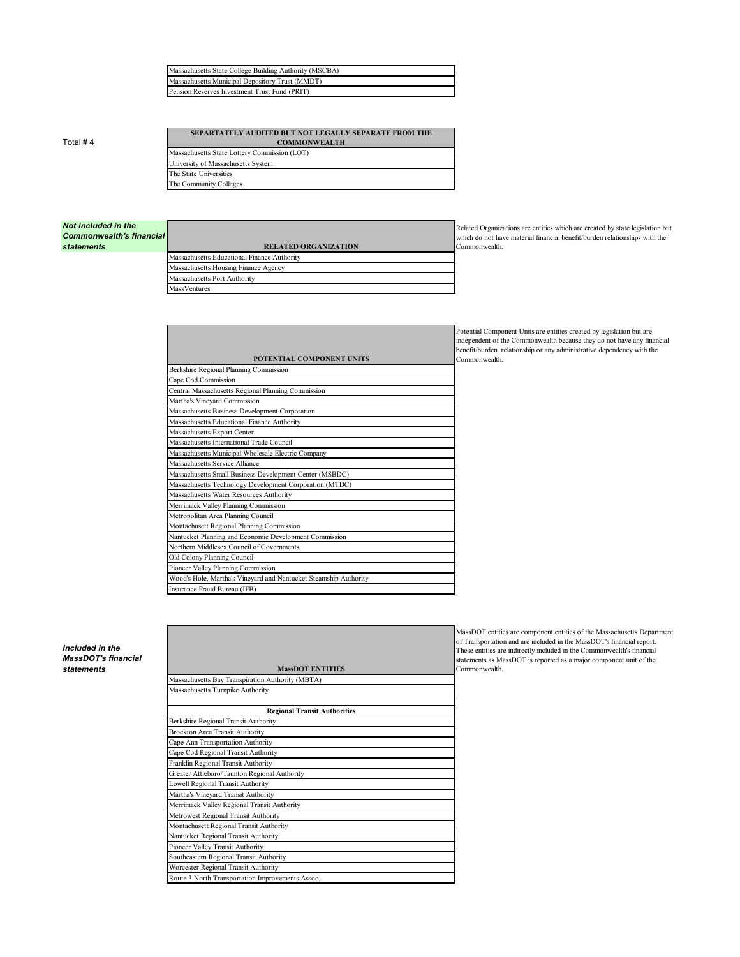| Massachusetts State College Building Authority (MSCBA) |
|--------------------------------------------------------|
| Massachusetts Municipal Depository Trust (MMDT)        |
| Pension Reserves Investment Trust Fund (PRIT)          |

Total # 4

| <b>SEPARTATELY AUDITED BUT NOT LEGALLY SEPARATE FROM THE</b> |  |
|--------------------------------------------------------------|--|
| <b>COMMONWEALTH</b>                                          |  |
| Massachusetts State Lottery Commission (LOT)                 |  |
| University of Massachusetts System                           |  |
| The State Universities                                       |  |
| The Community Colleges                                       |  |
|                                                              |  |

| Not included in the             |
|---------------------------------|
| <b>Commonwealth's financial</b> |
| <b>statements</b>               |

Related Organizations are entities which are created by state legislation but which do not have material financial benefit/burden relationships with the

| <b>Commonwealth's financial</b><br><i>statements</i> | <b>RELATED ORGANIZATION</b>                 |
|------------------------------------------------------|---------------------------------------------|
|                                                      | Massachusetts Educational Finance Authority |
|                                                      | Massachusetts Housing Finance Agency        |
|                                                      | Massachusetts Port Authority                |
|                                                      | MassVentures                                |
|                                                      |                                             |

Commonwealth.

Potential Component Units are entities created by legislation but are independent of the Commonwealth because they do not have any financial benefit/burden relationship or any administrative dependency with the Commonwealth.

*Included in the MassDOT's financial*   $statements$ 

| POTENTIAL COMPONENT UNITS                                        |
|------------------------------------------------------------------|
| Berkshire Regional Planning Commission                           |
| Cape Cod Commission                                              |
| Central Massachusetts Regional Planning Commission               |
| Martha's Vineyard Commission                                     |
| Massachusetts Business Development Corporation                   |
| Massachusetts Educational Finance Authority                      |
| Massachusetts Export Center                                      |
| Massachusetts International Trade Council                        |
| Massachusetts Municipal Wholesale Electric Company               |
| Massachusetts Service Alliance                                   |
| Massachusetts Small Business Development Center (MSBDC)          |
| Massachusetts Technology Development Corporation (MTDC)          |
| Massachusetts Water Resources Authority                          |
| Merrimack Valley Planning Commission                             |
| Metropolitan Area Planning Council                               |
| Montachusett Regional Planning Commission                        |
| Nantucket Planning and Economic Development Commission           |
| Northern Middlesex Council of Governments                        |
| Old Colony Planning Council                                      |
| Pioneer Valley Planning Commission                               |
| Wood's Hole, Martha's Vineyard and Nantucket Steamship Authority |
| Insurance Fraud Bureau (IFB)                                     |

MassDOT entities are component entities of the Massachusetts Department of Transportation and are included in the MassDOT's financial report. These entities are indirectly included in the Commonwealth's financial statements as MassDOT is reported as a major component unit of the Commonwealth.

| <b>MassDOT ENTITIES</b>                          |
|--------------------------------------------------|
| Massachusetts Bay Transpiration Authority (MBTA) |
| Massachusetts Turnpike Authority                 |
|                                                  |
| <b>Regional Transit Authorities</b>              |
| Berkshire Regional Transit Authority             |

| Brockton Area Transit Authority                  |  |
|--------------------------------------------------|--|
| Cape Ann Transportation Authority                |  |
| Cape Cod Regional Transit Authority              |  |
| Franklin Regional Transit Authority              |  |
| Greater Attleboro/Taunton Regional Authority     |  |
| Lowell Regional Transit Authority                |  |
| Martha's Vineyard Transit Authority              |  |
| Merrimack Valley Regional Transit Authority      |  |
| Metrowest Regional Transit Authority             |  |
| Montachusett Regional Transit Authority          |  |
| Nantucket Regional Transit Authority             |  |
| Pioneer Valley Transit Authority                 |  |
| Southeastern Regional Transit Authority          |  |
| Worcester Regional Transit Authority             |  |
| Route 3 North Transportation Improvements Assoc. |  |